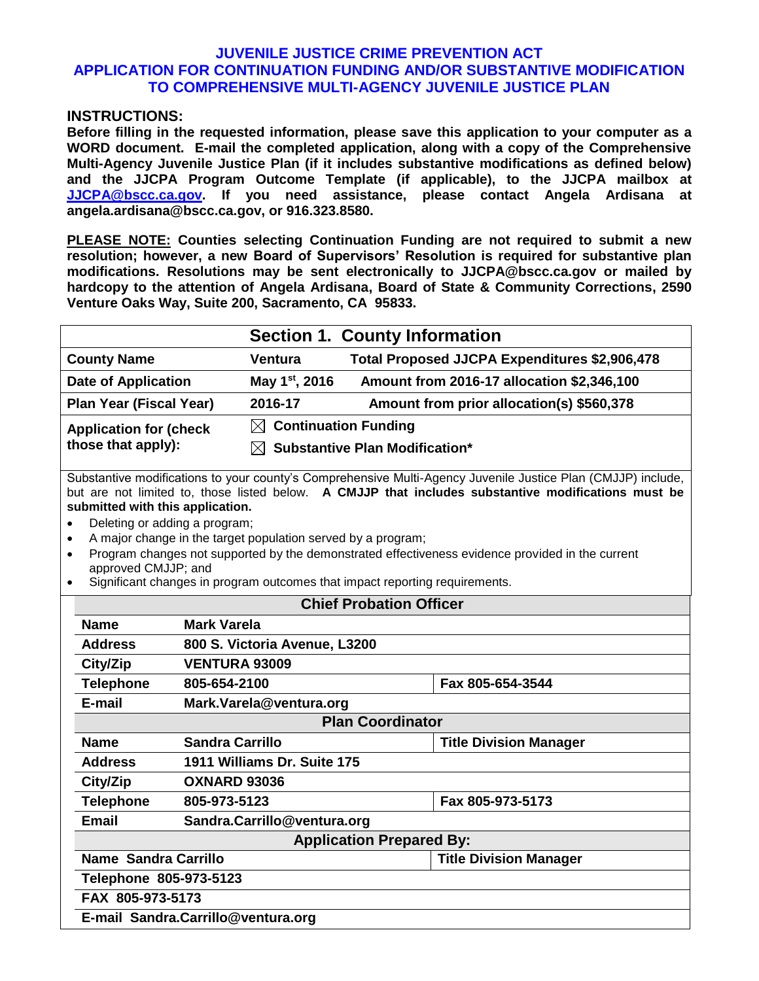### **JUVENILE JUSTICE CRIME PREVENTION ACT APPLICATION FOR CONTINUATION FUNDING AND/OR SUBSTANTIVE MODIFICATION TO COMPREHENSIVE MULTI-AGENCY JUVENILE JUSTICE PLAN**

#### **INSTRUCTIONS:**

**Before filling in the requested information, please save this application to your computer as a WORD document. E-mail the completed application, along with a copy of the Comprehensive Multi-Agency Juvenile Justice Plan (if it includes substantive modifications as defined below) and the JJCPA Program Outcome Template (if applicable), to the JJCPA mailbox at [JJCPA@bscc.ca.gov.](mailto:JJCPA@bscc.ca.gov) If you need assistance, please contact Angela Ardisana at angela.ardisana@bscc.ca.gov, or 916.323.8580.**

**PLEASE NOTE: Counties selecting Continuation Funding are not required to submit a new resolution; however, a new Board of Supervisors' Resolution is required for substantive plan modifications. Resolutions may be sent electronically to JJCPA@bscc.ca.gov or mailed by hardcopy to the attention of Angela Ardisana, Board of State & Community Corrections, 2590 Venture Oaks Way, Suite 200, Sacramento, CA 95833.** 

|                               | <b>Section 1. County Information</b> |                                               |  |
|-------------------------------|--------------------------------------|-----------------------------------------------|--|
| <b>County Name</b>            | <b>Ventura</b>                       | Total Proposed JJCPA Expenditures \$2,906,478 |  |
| <b>Date of Application</b>    | May 1 <sup>st</sup> , 2016           | Amount from 2016-17 allocation \$2,346,100    |  |
| Plan Year (Fiscal Year)       | 2016-17                              | Amount from prior allocation(s) \$560,378     |  |
| <b>Application for (check</b> | $\boxtimes$ Continuation Funding     |                                               |  |
| those that apply):            |                                      | $\boxtimes$ Substantive Plan Modification*    |  |
|                               |                                      |                                               |  |

Substantive modifications to your county's Comprehensive Multi-Agency Juvenile Justice Plan (CMJJP) include, but are not limited to, those listed below. **A CMJJP that includes substantive modifications must be submitted with this application.**

- Deleting or adding a program;
- A major change in the target population served by a program;
- Program changes not supported by the demonstrated effectiveness evidence provided in the current approved CMJJP; and
- Significant changes in program outcomes that impact reporting requirements.

| <b>Chief Probation Officer</b>     |                                                       |                               |  |
|------------------------------------|-------------------------------------------------------|-------------------------------|--|
| <b>Name</b>                        | <b>Mark Varela</b>                                    |                               |  |
| <b>Address</b>                     | 800 S. Victoria Avenue, L3200                         |                               |  |
| City/Zip                           | <b>VENTURA 93009</b>                                  |                               |  |
| <b>Telephone</b>                   | 805-654-2100                                          | Fax 805-654-3544              |  |
| E-mail                             | Mark.Varela@ventura.org                               |                               |  |
|                                    | <b>Plan Coordinator</b>                               |                               |  |
| <b>Name</b>                        | <b>Sandra Carrillo</b>                                | <b>Title Division Manager</b> |  |
| <b>Address</b>                     | 1911 Williams Dr. Suite 175                           |                               |  |
| City/Zip                           | <b>OXNARD 93036</b>                                   |                               |  |
| <b>Telephone</b>                   | 805-973-5123                                          | Fax 805-973-5173              |  |
| <b>Email</b>                       | Sandra.Carrillo@ventura.org                           |                               |  |
|                                    | <b>Application Prepared By:</b>                       |                               |  |
|                                    | Name Sandra Carrillo<br><b>Title Division Manager</b> |                               |  |
| Telephone 805-973-5123             |                                                       |                               |  |
| FAX 805-973-5173                   |                                                       |                               |  |
| E-mail Sandra.Carrillo@ventura.org |                                                       |                               |  |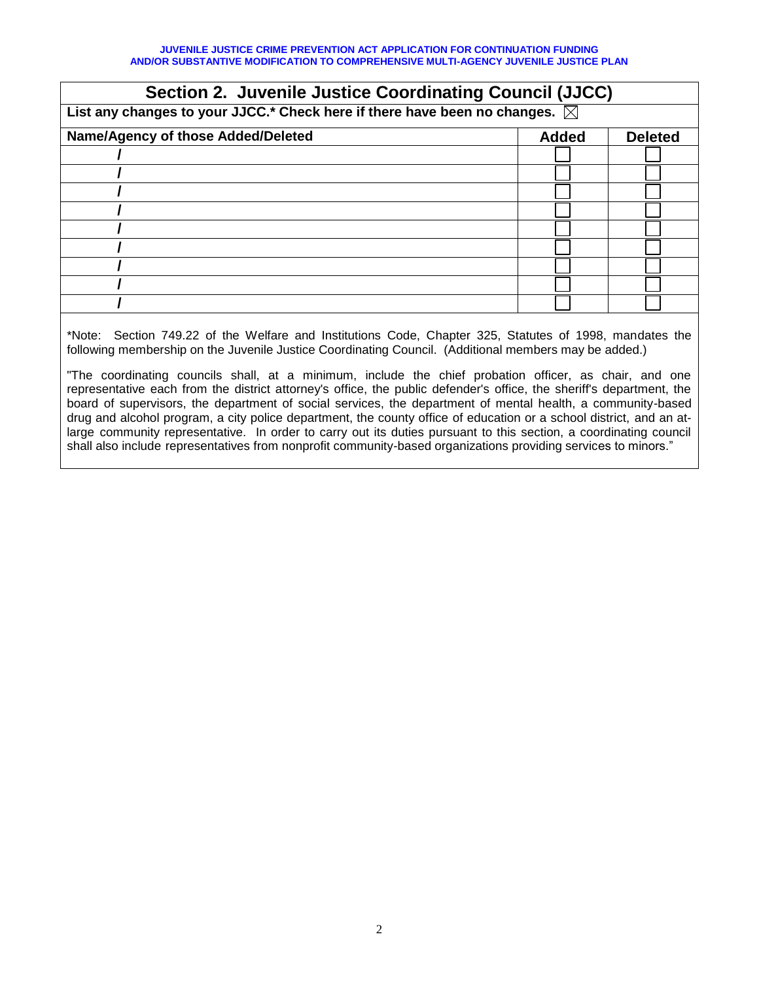| <b>Section 2. Juvenile Justice Coordinating Council (JJCC)</b>                        |              |                |  |
|---------------------------------------------------------------------------------------|--------------|----------------|--|
| List any changes to your JJCC.* Check here if there have been no changes. $\boxtimes$ |              |                |  |
| Name/Agency of those Added/Deleted                                                    | <b>Added</b> | <b>Deleted</b> |  |
|                                                                                       |              |                |  |
|                                                                                       |              |                |  |
|                                                                                       |              |                |  |
|                                                                                       |              |                |  |
|                                                                                       |              |                |  |
|                                                                                       |              |                |  |
|                                                                                       |              |                |  |
|                                                                                       |              |                |  |
|                                                                                       |              |                |  |
|                                                                                       |              |                |  |

\*Note: Section 749.22 of the Welfare and Institutions Code, Chapter 325, Statutes of 1998, mandates the following membership on the Juvenile Justice Coordinating Council. (Additional members may be added.)

"The coordinating councils shall, at a minimum, include the chief probation officer, as chair, and one representative each from the district attorney's office, the public defender's office, the sheriff's department, the board of supervisors, the department of social services, the department of mental health, a community-based drug and alcohol program, a city police department, the county office of education or a school district, and an atlarge community representative. In order to carry out its duties pursuant to this section, a coordinating council shall also include representatives from nonprofit community-based organizations providing services to minors."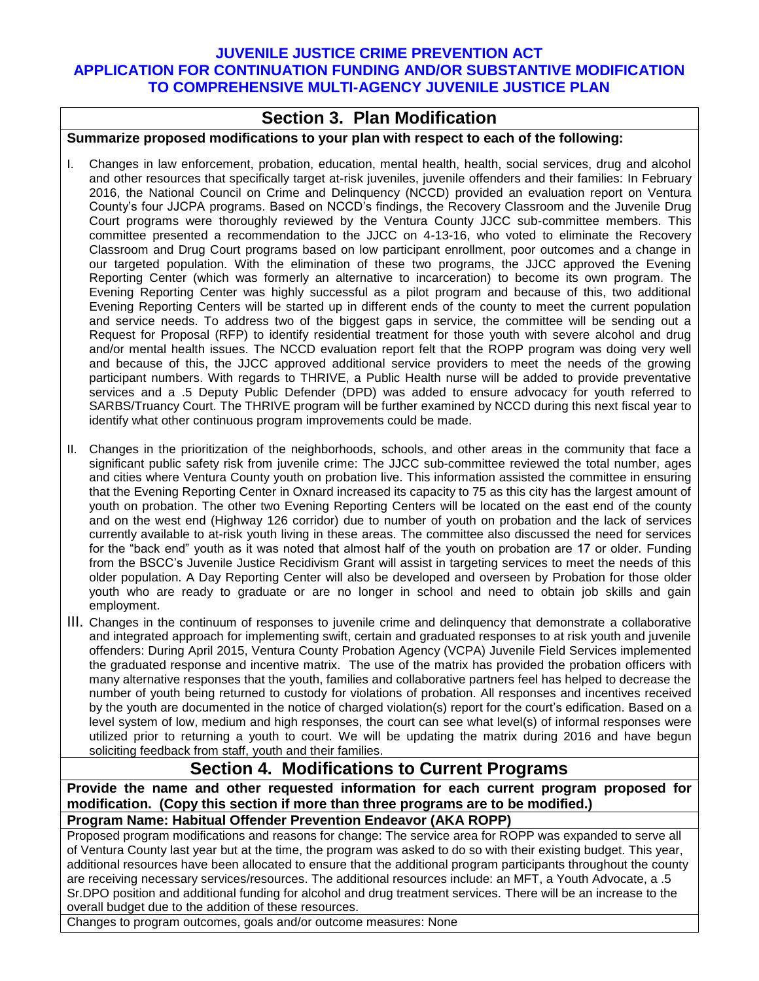### **JUVENILE JUSTICE CRIME PREVENTION ACT APPLICATION FOR CONTINUATION FUNDING AND/OR SUBSTANTIVE MODIFICATION TO COMPREHENSIVE MULTI-AGENCY JUVENILE JUSTICE PLAN**

### **Section 3. Plan Modification**

#### **Summarize proposed modifications to your plan with respect to each of the following:**

- I. Changes in law enforcement, probation, education, mental health, health, social services, drug and alcohol and other resources that specifically target at-risk juveniles, juvenile offenders and their families: In February 2016, the National Council on Crime and Delinquency (NCCD) provided an evaluation report on Ventura County's four JJCPA programs. Based on NCCD's findings, the Recovery Classroom and the Juvenile Drug Court programs were thoroughly reviewed by the Ventura County JJCC sub-committee members. This committee presented a recommendation to the JJCC on 4-13-16, who voted to eliminate the Recovery Classroom and Drug Court programs based on low participant enrollment, poor outcomes and a change in our targeted population. With the elimination of these two programs, the JJCC approved the Evening Reporting Center (which was formerly an alternative to incarceration) to become its own program. The Evening Reporting Center was highly successful as a pilot program and because of this, two additional Evening Reporting Centers will be started up in different ends of the county to meet the current population and service needs. To address two of the biggest gaps in service, the committee will be sending out a Request for Proposal (RFP) to identify residential treatment for those youth with severe alcohol and drug and/or mental health issues. The NCCD evaluation report felt that the ROPP program was doing very well and because of this, the JJCC approved additional service providers to meet the needs of the growing participant numbers. With regards to THRIVE, a Public Health nurse will be added to provide preventative services and a .5 Deputy Public Defender (DPD) was added to ensure advocacy for youth referred to SARBS/Truancy Court. The THRIVE program will be further examined by NCCD during this next fiscal year to identify what other continuous program improvements could be made.
- II. Changes in the prioritization of the neighborhoods, schools, and other areas in the community that face a significant public safety risk from juvenile crime: The JJCC sub-committee reviewed the total number, ages and cities where Ventura County youth on probation live. This information assisted the committee in ensuring that the Evening Reporting Center in Oxnard increased its capacity to 75 as this city has the largest amount of youth on probation. The other two Evening Reporting Centers will be located on the east end of the county and on the west end (Highway 126 corridor) due to number of youth on probation and the lack of services currently available to at-risk youth living in these areas. The committee also discussed the need for services for the "back end" youth as it was noted that almost half of the youth on probation are 17 or older. Funding from the BSCC's Juvenile Justice Recidivism Grant will assist in targeting services to meet the needs of this older population. A Day Reporting Center will also be developed and overseen by Probation for those older youth who are ready to graduate or are no longer in school and need to obtain job skills and gain employment.
- III. Changes in the continuum of responses to juvenile crime and delinquency that demonstrate a collaborative and integrated approach for implementing swift, certain and graduated responses to at risk youth and juvenile offenders: During April 2015, Ventura County Probation Agency (VCPA) Juvenile Field Services implemented the graduated response and incentive matrix. The use of the matrix has provided the probation officers with many alternative responses that the youth, families and collaborative partners feel has helped to decrease the number of youth being returned to custody for violations of probation. All responses and incentives received by the youth are documented in the notice of charged violation(s) report for the court's edification. Based on a level system of low, medium and high responses, the court can see what level(s) of informal responses were utilized prior to returning a youth to court. We will be updating the matrix during 2016 and have begun soliciting feedback from staff, youth and their families.

## **Section 4. Modifications to Current Programs**

**Provide the name and other requested information for each current program proposed for modification. (Copy this section if more than three programs are to be modified.) Program Name: Habitual Offender Prevention Endeavor (AKA ROPP)**

Proposed program modifications and reasons for change: The service area for ROPP was expanded to serve all of Ventura County last year but at the time, the program was asked to do so with their existing budget. This year, additional resources have been allocated to ensure that the additional program participants throughout the county are receiving necessary services/resources. The additional resources include: an MFT, a Youth Advocate, a .5 Sr.DPO position and additional funding for alcohol and drug treatment services. There will be an increase to the overall budget due to the addition of these resources.

Changes to program outcomes, goals and/or outcome measures: None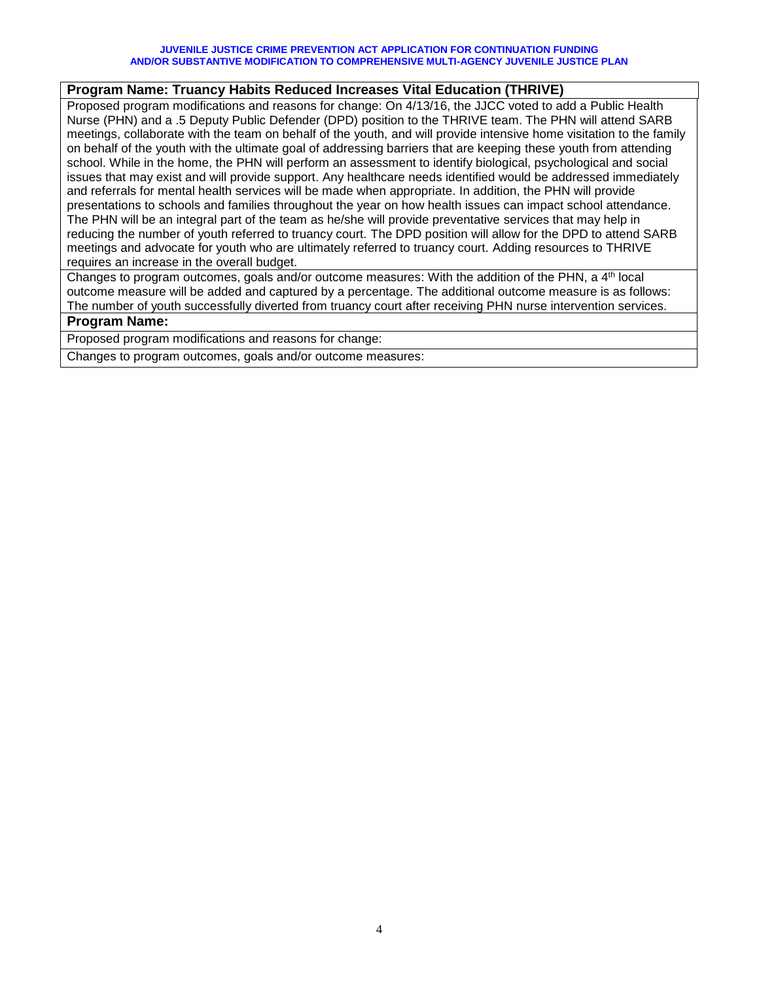#### **JUVENILE JUSTICE CRIME PREVENTION ACT APPLICATION FOR CONTINUATION FUNDING AND/OR SUBSTANTIVE MODIFICATION TO COMPREHENSIVE MULTI-AGENCY JUVENILE JUSTICE PLAN**

### **Program Name: Truancy Habits Reduced Increases Vital Education (THRIVE)**

Proposed program modifications and reasons for change: On 4/13/16, the JJCC voted to add a Public Health Nurse (PHN) and a .5 Deputy Public Defender (DPD) position to the THRIVE team. The PHN will attend SARB meetings, collaborate with the team on behalf of the youth, and will provide intensive home visitation to the family on behalf of the youth with the ultimate goal of addressing barriers that are keeping these youth from attending school. While in the home, the PHN will perform an assessment to identify biological, psychological and social issues that may exist and will provide support. Any healthcare needs identified would be addressed immediately and referrals for mental health services will be made when appropriate. In addition, the PHN will provide presentations to schools and families throughout the year on how health issues can impact school attendance. The PHN will be an integral part of the team as he/she will provide preventative services that may help in reducing the number of youth referred to truancy court. The DPD position will allow for the DPD to attend SARB meetings and advocate for youth who are ultimately referred to truancy court. Adding resources to THRIVE requires an increase in the overall budget.

Changes to program outcomes, goals and/or outcome measures: With the addition of the PHN, a 4<sup>th</sup> local outcome measure will be added and captured by a percentage. The additional outcome measure is as follows: The number of youth successfully diverted from truancy court after receiving PHN nurse intervention services.

#### **Program Name:**

Proposed program modifications and reasons for change:

Changes to program outcomes, goals and/or outcome measures: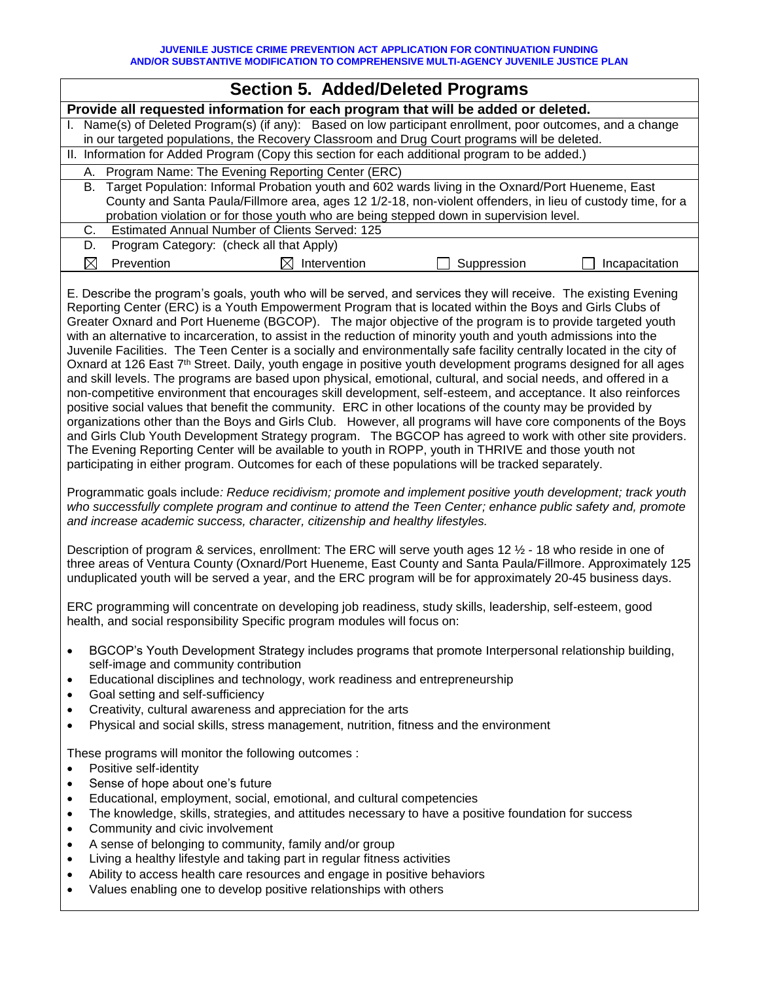| <b>Section 5. Added/Deleted Programs</b>                                                                                                                                                                 |                                                                                                             |  |  |  |  |
|----------------------------------------------------------------------------------------------------------------------------------------------------------------------------------------------------------|-------------------------------------------------------------------------------------------------------------|--|--|--|--|
| Provide all requested information for each program that will be added or deleted.                                                                                                                        |                                                                                                             |  |  |  |  |
| Name(s) of Deleted Program(s) (if any): Based on low participant enrollment, poor outcomes, and a change<br>in our targeted populations, the Recovery Classroom and Drug Court programs will be deleted. |                                                                                                             |  |  |  |  |
| II. Information for Added Program (Copy this section for each additional program to be added.)                                                                                                           |                                                                                                             |  |  |  |  |
| A. Program Name: The Evening Reporting Center (ERC)                                                                                                                                                      |                                                                                                             |  |  |  |  |
| B. Target Population: Informal Probation youth and 602 wards living in the Oxnard/Port Hueneme, East                                                                                                     |                                                                                                             |  |  |  |  |
|                                                                                                                                                                                                          | County and Santa Paula/Fillmore area, ages 12 1/2-18, non-violent offenders, in lieu of custody time, for a |  |  |  |  |
| probation violation or for those youth who are being stepped down in supervision level.                                                                                                                  |                                                                                                             |  |  |  |  |
| <b>Estimated Annual Number of Clients Served: 125</b><br>C.                                                                                                                                              |                                                                                                             |  |  |  |  |
| Program Category: (check all that Apply)<br>D.                                                                                                                                                           |                                                                                                             |  |  |  |  |
| Intervention<br>Prevention<br>Suppression<br>Incapacitation                                                                                                                                              |                                                                                                             |  |  |  |  |

E. Describe the program's goals, youth who will be served, and services they will receive. The existing Evening Reporting Center (ERC) is a Youth Empowerment Program that is located within the Boys and Girls Clubs of Greater Oxnard and Port Hueneme (BGCOP). The major objective of the program is to provide targeted youth with an alternative to incarceration, to assist in the reduction of minority youth and youth admissions into the Juvenile Facilities. The Teen Center is a socially and environmentally safe facility centrally located in the city of Oxnard at 126 East 7th Street. Daily, youth engage in positive youth development programs designed for all ages and skill levels. The programs are based upon physical, emotional, cultural, and social needs, and offered in a non-competitive environment that encourages skill development, self-esteem, and acceptance. It also reinforces positive social values that benefit the community. ERC in other locations of the county may be provided by organizations other than the Boys and Girls Club. However, all programs will have core components of the Boys and Girls Club Youth Development Strategy program. The BGCOP has agreed to work with other site providers. The Evening Reporting Center will be available to youth in ROPP, youth in THRIVE and those youth not participating in either program. Outcomes for each of these populations will be tracked separately.

Programmatic goals include*: Reduce recidivism; promote and implement positive youth development; track youth who successfully complete program and continue to attend the Teen Center; enhance public safety and, promote and increase academic success, character, citizenship and healthy lifestyles.*

Description of program & services, enrollment: The ERC will serve youth ages 12 ½ - 18 who reside in one of three areas of Ventura County (Oxnard/Port Hueneme, East County and Santa Paula/Fillmore. Approximately 125 unduplicated youth will be served a year, and the ERC program will be for approximately 20-45 business days.

ERC programming will concentrate on developing job readiness, study skills, leadership, self-esteem, good health, and social responsibility Specific program modules will focus on:

- BGCOP's Youth Development Strategy includes programs that promote Interpersonal relationship building, self-image and community contribution
- Educational disciplines and technology, work readiness and entrepreneurship
- Goal setting and self-sufficiency
- Creativity, cultural awareness and appreciation for the arts
- Physical and social skills, stress management, nutrition, fitness and the environment

These programs will monitor the following outcomes :

- Positive self-identity
- Sense of hope about one's future
- Educational, employment, social, emotional, and cultural competencies
- The knowledge, skills, strategies, and attitudes necessary to have a positive foundation for success
- Community and civic involvement
- A sense of belonging to community, family and/or group
- Living a healthy lifestyle and taking part in regular fitness activities
- Ability to access health care resources and engage in positive behaviors
- Values enabling one to develop positive relationships with others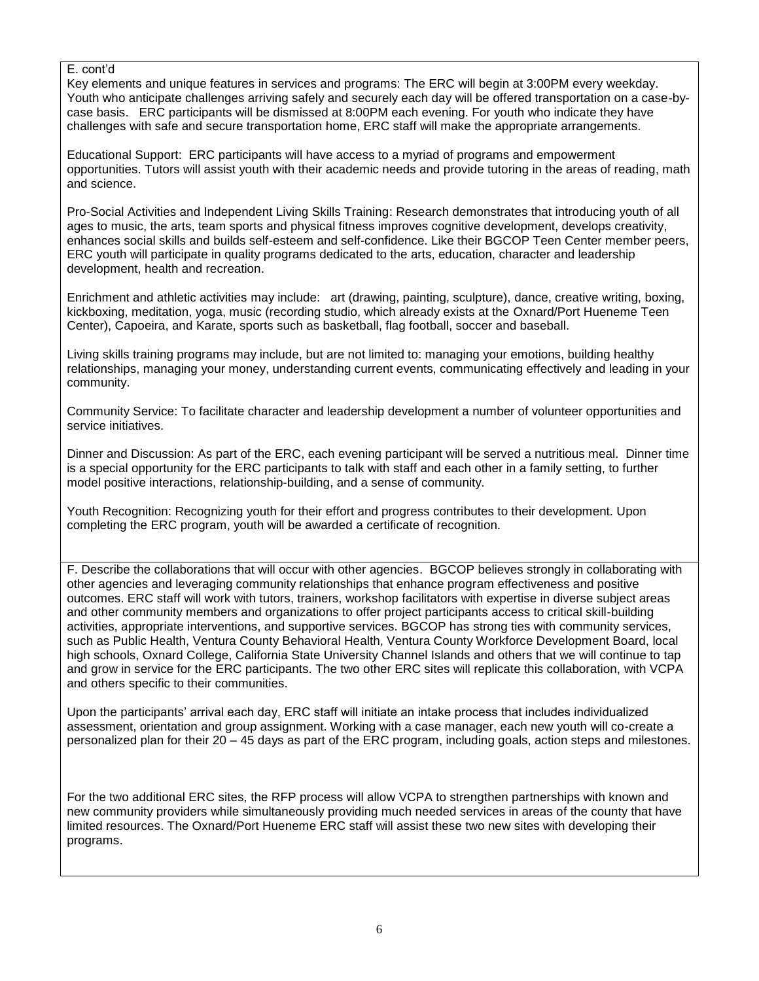#### E. cont'd

Key elements and unique features in services and programs: The ERC will begin at 3:00PM every weekday. Youth who anticipate challenges arriving safely and securely each day will be offered transportation on a case-bycase basis. ERC participants will be dismissed at 8:00PM each evening. For youth who indicate they have challenges with safe and secure transportation home, ERC staff will make the appropriate arrangements.

Educational Support: ERC participants will have access to a myriad of programs and empowerment opportunities. Tutors will assist youth with their academic needs and provide tutoring in the areas of reading, math and science.

Pro-Social Activities and Independent Living Skills Training: Research demonstrates that introducing youth of all ages to music, the arts, team sports and physical fitness improves cognitive development, develops creativity, enhances social skills and builds self-esteem and self-confidence. Like their BGCOP Teen Center member peers, ERC youth will participate in quality programs dedicated to the arts, education, character and leadership development, health and recreation.

Enrichment and athletic activities may include: art (drawing, painting, sculpture), dance, creative writing, boxing, kickboxing, meditation, yoga, music (recording studio, which already exists at the Oxnard/Port Hueneme Teen Center), Capoeira, and Karate, sports such as basketball, flag football, soccer and baseball.

Living skills training programs may include, but are not limited to: managing your emotions, building healthy relationships, managing your money, understanding current events, communicating effectively and leading in your community.

Community Service: To facilitate character and leadership development a number of volunteer opportunities and service initiatives.

Dinner and Discussion: As part of the ERC, each evening participant will be served a nutritious meal. Dinner time is a special opportunity for the ERC participants to talk with staff and each other in a family setting, to further model positive interactions, relationship-building, and a sense of community.

Youth Recognition: Recognizing youth for their effort and progress contributes to their development. Upon completing the ERC program, youth will be awarded a certificate of recognition.

F. Describe the collaborations that will occur with other agencies. BGCOP believes strongly in collaborating with other agencies and leveraging community relationships that enhance program effectiveness and positive outcomes. ERC staff will work with tutors, trainers, workshop facilitators with expertise in diverse subject areas and other community members and organizations to offer project participants access to critical skill-building activities, appropriate interventions, and supportive services. BGCOP has strong ties with community services, such as Public Health, Ventura County Behavioral Health, Ventura County Workforce Development Board, local high schools, Oxnard College, California State University Channel Islands and others that we will continue to tap and grow in service for the ERC participants. The two other ERC sites will replicate this collaboration, with VCPA and others specific to their communities.

Upon the participants' arrival each day, ERC staff will initiate an intake process that includes individualized assessment, orientation and group assignment. Working with a case manager, each new youth will co-create a personalized plan for their 20 – 45 days as part of the ERC program, including goals, action steps and milestones.

For the two additional ERC sites, the RFP process will allow VCPA to strengthen partnerships with known and new community providers while simultaneously providing much needed services in areas of the county that have limited resources. The Oxnard/Port Hueneme ERC staff will assist these two new sites with developing their programs.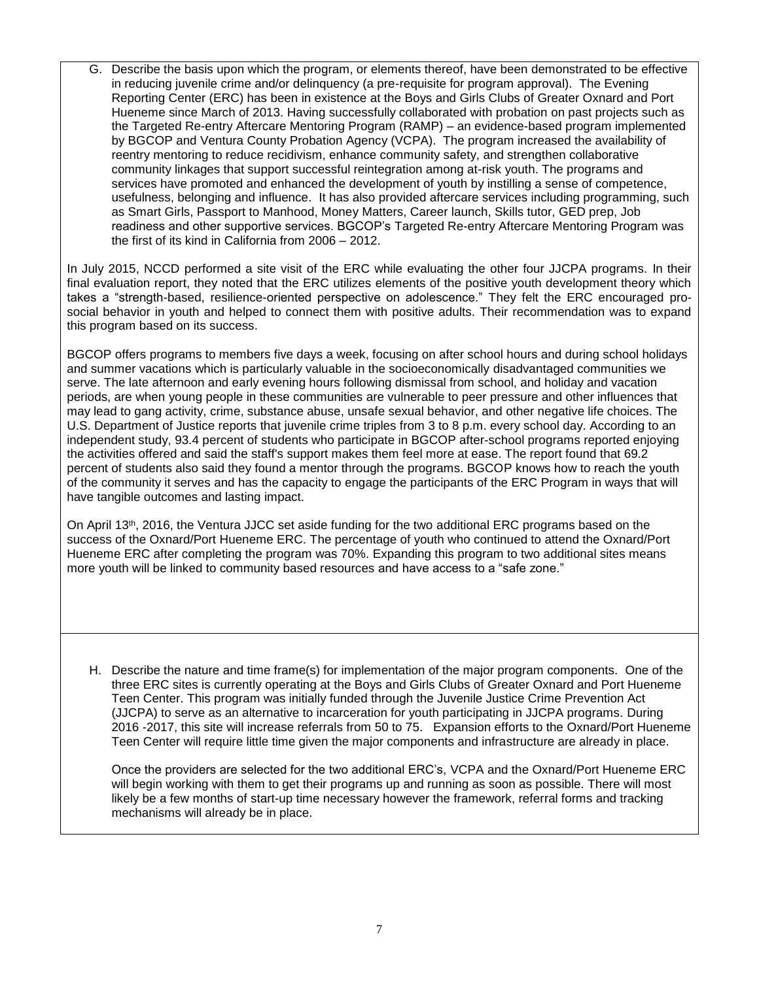G. Describe the basis upon which the program, or elements thereof, have been demonstrated to be effective in reducing juvenile crime and/or delinquency (a pre-requisite for program approval). The Evening Reporting Center (ERC) has been in existence at the Boys and Girls Clubs of Greater Oxnard and Port Hueneme since March of 2013. Having successfully collaborated with probation on past projects such as the Targeted Re-entry Aftercare Mentoring Program (RAMP) – an evidence-based program implemented by BGCOP and Ventura County Probation Agency (VCPA). The program increased the availability of reentry mentoring to reduce recidivism, enhance community safety, and strengthen collaborative community linkages that support successful reintegration among at-risk youth. The programs and services have promoted and enhanced the development of youth by instilling a sense of competence, usefulness, belonging and influence. It has also provided aftercare services including programming, such as Smart Girls, Passport to Manhood, Money Matters, Career launch, Skills tutor, GED prep, Job readiness and other supportive services. BGCOP's Targeted Re-entry Aftercare Mentoring Program was the first of its kind in California from 2006 – 2012.

In July 2015, NCCD performed a site visit of the ERC while evaluating the other four JJCPA programs. In their final evaluation report, they noted that the ERC utilizes elements of the positive youth development theory which takes a "strength-based, resilience-oriented perspective on adolescence." They felt the ERC encouraged prosocial behavior in youth and helped to connect them with positive adults. Their recommendation was to expand this program based on its success.

BGCOP offers programs to members five days a week, focusing on after school hours and during school holidays and summer vacations which is particularly valuable in the socioeconomically disadvantaged communities we serve. The late afternoon and early evening hours following dismissal from school, and holiday and vacation periods, are when young people in these communities are vulnerable to peer pressure and other influences that may lead to gang activity, crime, substance abuse, unsafe sexual behavior, and other negative life choices. The U.S. Department of Justice reports that juvenile crime triples from 3 to 8 p.m. every school day. According to an independent study, 93.4 percent of students who participate in BGCOP after-school programs reported enjoying the activities offered and said the staff's support makes them feel more at ease. The report found that 69.2 percent of students also said they found a mentor through the programs. BGCOP knows how to reach the youth of the community it serves and has the capacity to engage the participants of the ERC Program in ways that will have tangible outcomes and lasting impact.

On April 13th, 2016, the Ventura JJCC set aside funding for the two additional ERC programs based on the success of the Oxnard/Port Hueneme ERC. The percentage of youth who continued to attend the Oxnard/Port Hueneme ERC after completing the program was 70%. Expanding this program to two additional sites means more youth will be linked to community based resources and have access to a "safe zone."

H. Describe the nature and time frame(s) for implementation of the major program components. One of the three ERC sites is currently operating at the Boys and Girls Clubs of Greater Oxnard and Port Hueneme Teen Center. This program was initially funded through the Juvenile Justice Crime Prevention Act (JJCPA) to serve as an alternative to incarceration for youth participating in JJCPA programs. During 2016 -2017, this site will increase referrals from 50 to 75. Expansion efforts to the Oxnard/Port Hueneme Teen Center will require little time given the major components and infrastructure are already in place.

Once the providers are selected for the two additional ERC's, VCPA and the Oxnard/Port Hueneme ERC will begin working with them to get their programs up and running as soon as possible. There will most likely be a few months of start-up time necessary however the framework, referral forms and tracking mechanisms will already be in place.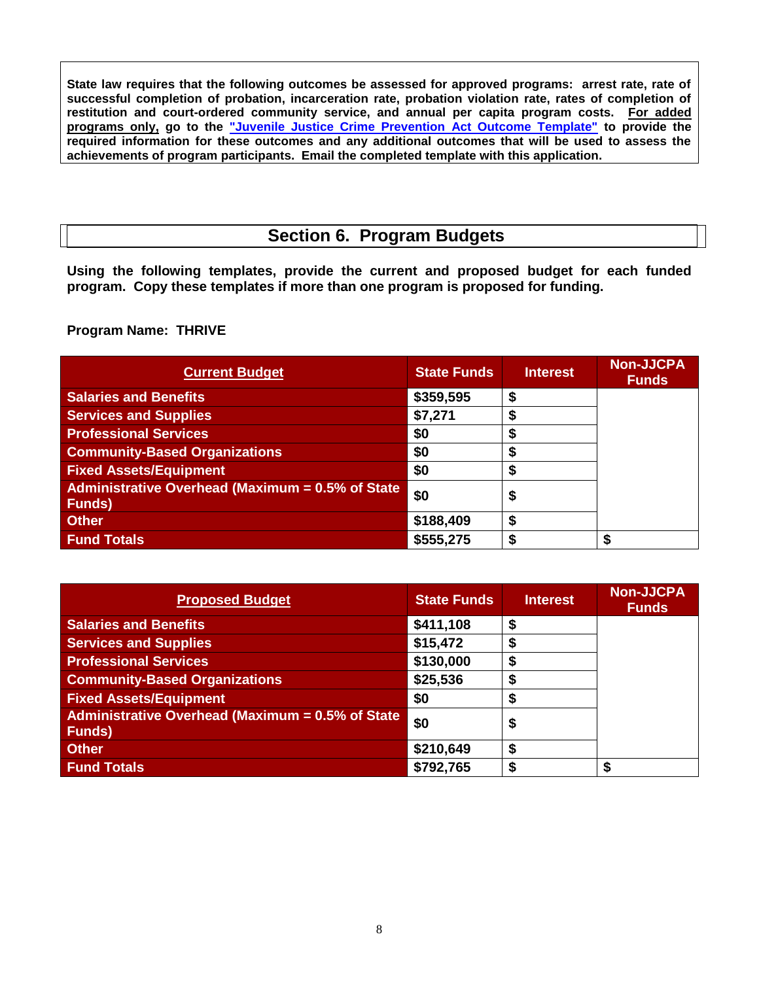**State law requires that the following outcomes be assessed for approved programs: arrest rate, rate of successful completion of probation, incarceration rate, probation violation rate, rates of completion of restitution and court-ordered community service, and annual per capita program costs. For added programs only, go to the ["Juvenile Justice Crime Prevention Act Outcome Template"](http://www.bscc.ca.gov/s_cppgrantfundedprograms.php) to provide the required information for these outcomes and any additional outcomes that will be used to assess the achievements of program participants. Email the completed template with this application.** 

### **Section 6. Program Budgets**

**Using the following templates, provide the current and proposed budget for each funded program. Copy these templates if more than one program is proposed for funding.** 

**Program Name: THRIVE**

| <b>Current Budget</b>                                                           | <b>State Funds</b> | <b>Interest</b> | <b>Non-JJCPA</b><br><b>Funds</b> |
|---------------------------------------------------------------------------------|--------------------|-----------------|----------------------------------|
| <b>Salaries and Benefits</b>                                                    | \$359,595          |                 |                                  |
| <b>Services and Supplies</b>                                                    | \$7,271            |                 |                                  |
| <b>Professional Services</b>                                                    | \$0                |                 |                                  |
| <b>Community-Based Organizations</b>                                            | \$0                |                 |                                  |
| <b>Fixed Assets/Equipment</b>                                                   | \$0                |                 |                                  |
| Administrative Overhead $\overline{Maximum} = 0.5\%$ of State<br><b>Funds</b> ) | \$0                | D               |                                  |
| <b>Other</b>                                                                    | \$188,409          |                 |                                  |
| <b>Fund Totals</b>                                                              | \$555,275          |                 |                                  |

| <b>Proposed Budget</b>                                             | <b>State Funds</b> | <b>Interest</b> | <b>Non-JJCPA</b><br><b>Funds</b> |
|--------------------------------------------------------------------|--------------------|-----------------|----------------------------------|
| <b>Salaries and Benefits</b>                                       | \$411,108          | S               |                                  |
| <b>Services and Supplies</b>                                       | \$15,472           | S               |                                  |
| <b>Professional Services</b>                                       | \$130,000          |                 |                                  |
| <b>Community-Based Organizations</b>                               | \$25,536           |                 |                                  |
| <b>Fixed Assets/Equipment</b>                                      | \$0                | œ               |                                  |
| Administrative Overhead (Maximum = 0.5% of State<br><b>Funds</b> ) | \$0                | D               |                                  |
| <b>Other</b>                                                       | \$210,649          | S               |                                  |
| <b>Fund Totals</b>                                                 | \$792,765          |                 |                                  |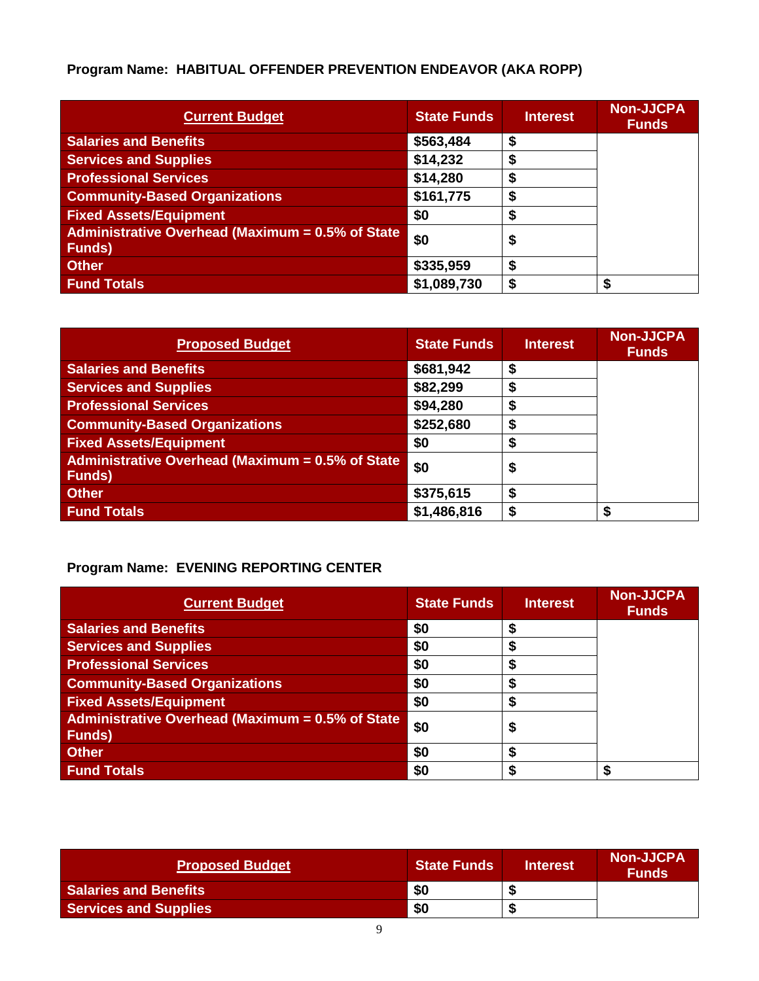# **Program Name: HABITUAL OFFENDER PREVENTION ENDEAVOR (AKA ROPP)**

| <b>Current Budget</b>                                             | <b>State Funds</b> | <b>Interest</b> | <b>Non-JJCPA</b><br><b>Funds</b> |
|-------------------------------------------------------------------|--------------------|-----------------|----------------------------------|
| <b>Salaries and Benefits</b>                                      | \$563,484          |                 |                                  |
| <b>Services and Supplies</b>                                      | \$14,232           | S               |                                  |
| <b>Professional Services</b>                                      | \$14,280           |                 |                                  |
| <b>Community-Based Organizations</b>                              | \$161,775          | S               |                                  |
| <b>Fixed Assets/Equipment</b>                                     | \$0                | œ               |                                  |
| Administrative Overhead (Maximum = 0.5% of State<br><b>Funds)</b> | \$0                | \$              |                                  |
| <b>Other</b>                                                      | \$335,959          | \$              |                                  |
| <b>Fund Totals</b>                                                | \$1,089,730        | S               | \$                               |

| <b>Proposed Budget</b>                                             | <b>State Funds</b> | <b>Interest</b> | <b>Non-JJCPA</b><br><b>Funds</b> |
|--------------------------------------------------------------------|--------------------|-----------------|----------------------------------|
| <b>Salaries and Benefits</b>                                       | \$681,942          | S               |                                  |
| <b>Services and Supplies</b>                                       | \$82,299           | S               |                                  |
| <b>Professional Services</b>                                       | \$94,280           | ъ               |                                  |
| <b>Community-Based Organizations</b>                               | \$252,680          | ъ               |                                  |
| <b>Fixed Assets/Equipment</b>                                      | \$0                | Ð               |                                  |
| Administrative Overhead (Maximum = 0.5% of State<br><b>Funds</b> ) | \$0                | \$              |                                  |
| <b>Other</b>                                                       | \$375,615          | S               |                                  |
| <b>Fund Totals</b>                                                 | \$1,486,816        |                 |                                  |

### **Program Name: EVENING REPORTING CENTER**

| <b>Current Budget</b>                                              | <b>State Funds</b> | <b>Interest</b> | <b>Non-JJCPA</b><br><b>Funds</b> |
|--------------------------------------------------------------------|--------------------|-----------------|----------------------------------|
| <b>Salaries and Benefits</b>                                       | \$0                |                 |                                  |
| <b>Services and Supplies</b>                                       | \$0                |                 |                                  |
| <b>Professional Services</b>                                       | \$0                |                 |                                  |
| <b>Community-Based Organizations</b>                               | \$0                |                 |                                  |
| <b>Fixed Assets/Equipment</b>                                      | \$0                |                 |                                  |
| Administrative Overhead (Maximum = 0.5% of State<br><b>Funds</b> ) | \$0                | J               |                                  |
| <b>Other</b>                                                       | \$0                |                 |                                  |
| <b>Fund Totals</b>                                                 | \$0                |                 |                                  |

| <b>Proposed Budget</b>       | <b>State Funds</b> | <b>Interest</b> | <b>Non-JJCPA</b><br><b>Funds</b> |
|------------------------------|--------------------|-----------------|----------------------------------|
| <b>Salaries and Benefits</b> | \$0                |                 |                                  |
| <b>Services and Supplies</b> | \$0                |                 |                                  |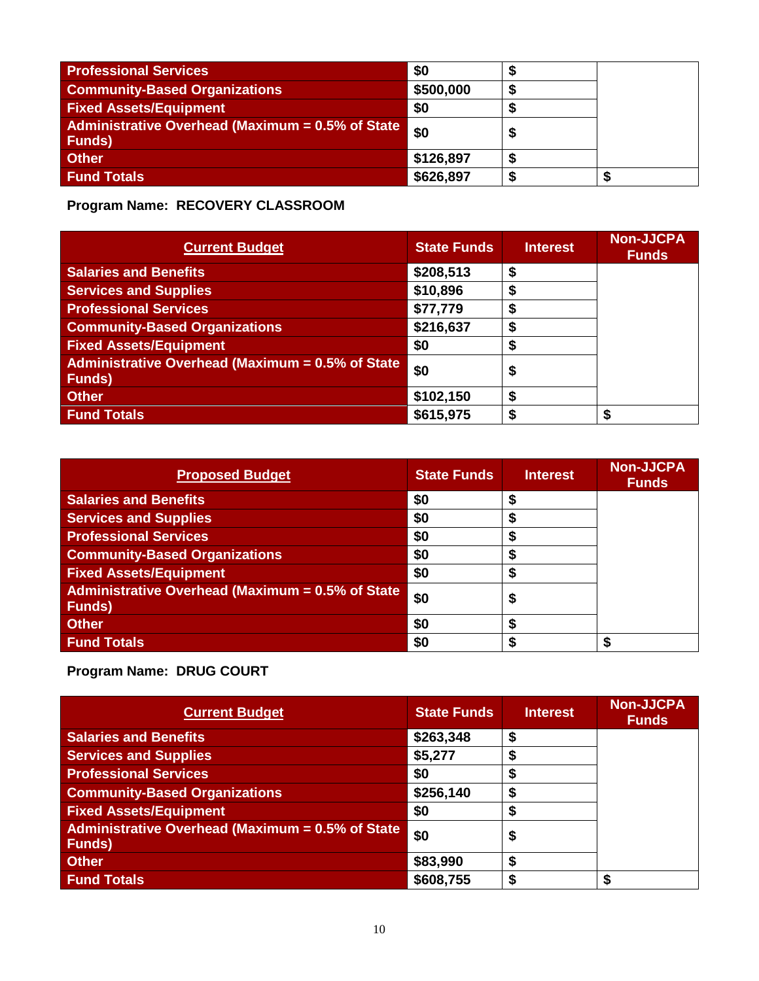| <b>Professional Services</b>                                                            | \$0       |  |
|-----------------------------------------------------------------------------------------|-----------|--|
| <b>Community-Based Organizations</b>                                                    | \$500,000 |  |
| <b>Fixed Assets/Equipment</b>                                                           | \$0       |  |
| <b>Administrative Overhead (Maximum = <math>0.5\%</math> of State</b><br><b>Funds</b> ) | \$0       |  |
| <b>Other</b>                                                                            | \$126,897 |  |
| <b>Fund Totals</b>                                                                      | \$626,897 |  |

**Program Name: RECOVERY CLASSROOM**

| <b>Current Budget</b>                                              | <b>State Funds</b> | <b>Interest</b> | <b>Non-JJCPA</b><br><b>Funds</b> |
|--------------------------------------------------------------------|--------------------|-----------------|----------------------------------|
| <b>Salaries and Benefits</b>                                       | \$208,513          | S               |                                  |
| <b>Services and Supplies</b>                                       | \$10,896           | S               |                                  |
| <b>Professional Services</b>                                       | \$77,779           | S               |                                  |
| <b>Community-Based Organizations</b>                               | \$216,637          | S               |                                  |
| <b>Fixed Assets/Equipment</b>                                      | \$0                | œ               |                                  |
| Administrative Overhead (Maximum = 0.5% of State<br><b>Funds</b> ) | \$0                | \$              |                                  |
| <b>Other</b>                                                       | \$102,150          | S               |                                  |
| <b>Fund Totals</b>                                                 | \$615,975          | S               | \$                               |

| <b>Proposed Budget</b>                                             | <b>State Funds</b> | <b>Interest</b> | <b>Non-JJCPA</b><br><b>Funds</b> |
|--------------------------------------------------------------------|--------------------|-----------------|----------------------------------|
| <b>Salaries and Benefits</b>                                       | \$0                |                 |                                  |
| <b>Services and Supplies</b>                                       | \$0                |                 |                                  |
| <b>Professional Services</b>                                       | \$0                |                 |                                  |
| <b>Community-Based Organizations</b>                               | \$0                |                 |                                  |
| <b>Fixed Assets/Equipment</b>                                      | \$0                |                 |                                  |
| Administrative Overhead (Maximum = 0.5% of State<br><b>Funds</b> ) | \$0                | Φ               |                                  |
| <b>Other</b>                                                       | \$0                |                 |                                  |
| <b>Fund Totals</b>                                                 | \$0                |                 | \$                               |

**Program Name: DRUG COURT**

| <b>Current Budget</b>                                              | <b>State Funds</b> | <b>Interest</b> | <b>Non-JJCPA</b><br><b>Funds</b> |
|--------------------------------------------------------------------|--------------------|-----------------|----------------------------------|
| <b>Salaries and Benefits</b>                                       | \$263,348          | S               |                                  |
| <b>Services and Supplies</b>                                       | \$5,277            |                 |                                  |
| <b>Professional Services</b>                                       | \$0                |                 |                                  |
| <b>Community-Based Organizations</b>                               | \$256,140          | S               |                                  |
| <b>Fixed Assets/Equipment</b>                                      | \$0                |                 |                                  |
| Administrative Overhead (Maximum = 0.5% of State<br><b>Funds</b> ) | \$0                | \$              |                                  |
| <b>Other</b>                                                       | \$83,990           | S               |                                  |
| <b>Fund Totals</b>                                                 | \$608,755          |                 |                                  |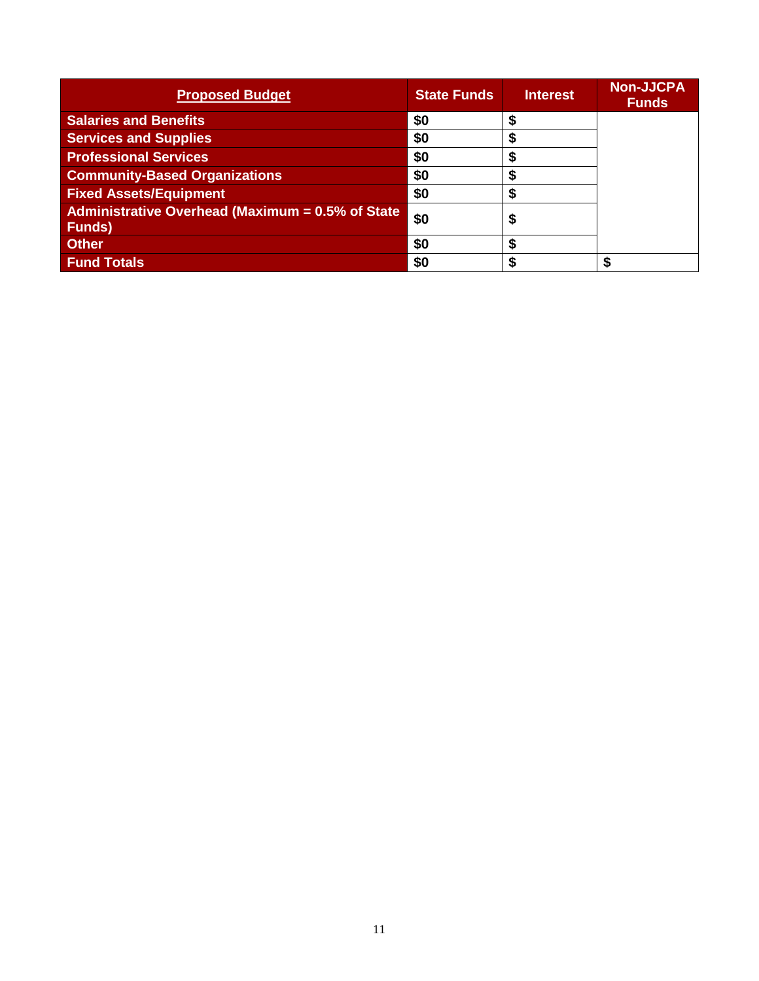| <b>Proposed Budget</b>                                                | <b>State Funds</b> | <b>Interest</b> | <b>Non-JJCPA</b><br><b>Funds</b> |
|-----------------------------------------------------------------------|--------------------|-----------------|----------------------------------|
| <b>Salaries and Benefits</b>                                          | \$0                |                 |                                  |
| <b>Services and Supplies</b>                                          | \$0                |                 |                                  |
| <b>Professional Services</b>                                          | \$0                |                 |                                  |
| <b>Community-Based Organizations</b>                                  | \$0                |                 |                                  |
| <b>Fixed Assets/Equipment</b>                                         | \$0                |                 |                                  |
| Administrative Overhead (Maximum = $0.5\%$ of State<br><b>Funds</b> ) | \$0                |                 |                                  |
| <b>Other</b>                                                          | \$0                | æ               |                                  |
| <b>Fund Totals</b>                                                    | \$0                |                 |                                  |